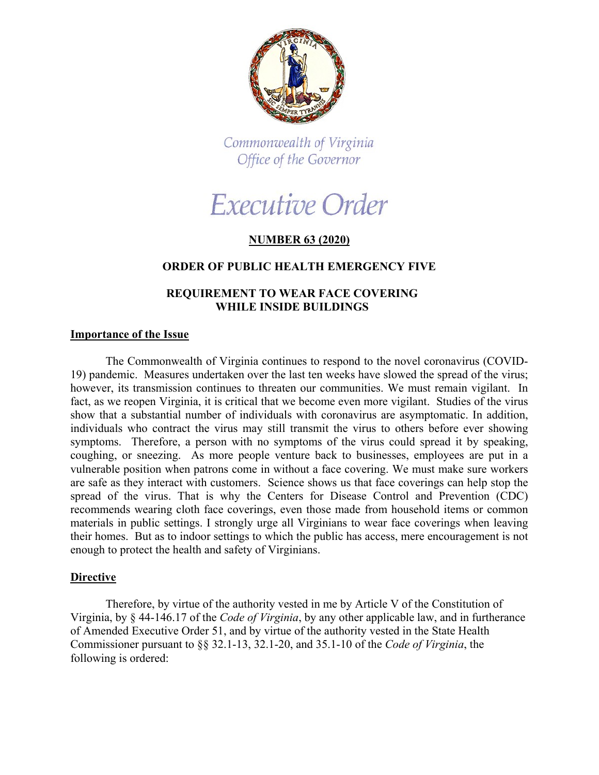

Commonwealth of Virginia Office of the Governor

# Executive Order

# **NUMBER 63 (2020)**

### **ORDER OF PUBLIC HEALTH EMERGENCY FIVE**

## **REQUIREMENT TO WEAR FACE COVERING WHILE INSIDE BUILDINGS**

#### **Importance of the Issue**

The Commonwealth of Virginia continues to respond to the novel coronavirus (COVID-19) pandemic. Measures undertaken over the last ten weeks have slowed the spread of the virus; however, its transmission continues to threaten our communities. We must remain vigilant. In fact, as we reopen Virginia, it is critical that we become even more vigilant. Studies of the virus show that a substantial number of individuals with coronavirus are asymptomatic. In addition, individuals who contract the virus may still transmit the virus to others before ever showing symptoms. Therefore, a person with no symptoms of the virus could spread it by speaking, coughing, or sneezing. As more people venture back to businesses, employees are put in a vulnerable position when patrons come in without a face covering. We must make sure workers are safe as they interact with customers. Science shows us that face coverings can help stop the spread of the virus. That is why the Centers for Disease Control and Prevention (CDC) recommends wearing cloth face coverings, even those made from household items or common materials in public settings. I strongly urge all Virginians to wear face coverings when leaving their homes. But as to indoor settings to which the public has access, mere encouragement is not enough to protect the health and safety of Virginians.

#### **Directive**

Therefore, by virtue of the authority vested in me by Article V of the Constitution of Virginia, by § 44-146.17 of the *Code of Virginia*, by any other applicable law, and in furtherance of Amended Executive Order 51, and by virtue of the authority vested in the State Health Commissioner pursuant to §§ 32.1-13, 32.1-20, and 35.1-10 of the *Code of Virginia*, the following is ordered: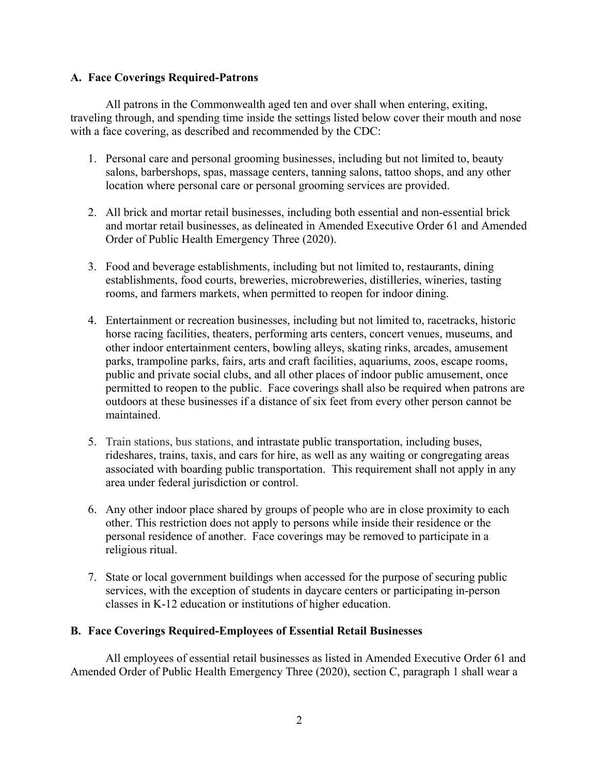### **A. Face Coverings Required-Patrons**

All patrons in the Commonwealth aged ten and over shall when entering, exiting, traveling through, and spending time inside the settings listed below cover their mouth and nose with a face covering, [as described and recommended by the CDC:](https://www.cdc.gov/coronavirus/2019-ncov/prevent-getting-sick/diy-cloth-face-coverings.html)

- 1. Personal care and personal grooming businesses, including but not limited to, beauty salons, barbershops, spas, massage centers, tanning salons, tattoo shops, and any other location where personal care or personal grooming services are provided.
- 2. All brick and mortar retail businesses, including both essential and non-essential brick and mortar retail businesses, as delineated in Amended Executive Order 61 and Amended Order of Public Health Emergency Three (2020).
- 3. Food and beverage establishments, including but not limited to, restaurants, dining establishments, food courts, breweries, microbreweries, distilleries, wineries, tasting rooms, and farmers markets, when permitted to reopen for indoor dining.
- 4. Entertainment or recreation businesses, including but not limited to, racetracks, historic horse racing facilities, theaters, performing arts centers, concert venues, museums, and other indoor entertainment centers, bowling alleys, skating rinks, arcades, amusement parks, trampoline parks, fairs, arts and craft facilities, aquariums, zoos, escape rooms, public and private social clubs, and all other places of indoor public amusement, once permitted to reopen to the public. Face coverings shall also be required when patrons are outdoors at these businesses if a distance of six feet from every other person cannot be maintained.
- 5. Train stations, bus stations, and intrastate public transportation, including buses, rideshares, trains, taxis, and cars for hire, as well as any waiting or congregating areas associated with boarding public transportation. This requirement shall not apply in any area under federal jurisdiction or control.
- 6. Any other indoor place shared by groups of people who are in close proximity to each other. This restriction does not apply to persons while inside their residence or the personal residence of another. Face coverings may be removed to participate in a religious ritual.
- 7. State or local government buildings when accessed for the purpose of securing public services, with the exception of students in daycare centers or participating in-person classes in K-12 education or institutions of higher education.

# **B. Face Coverings Required-Employees of Essential Retail Businesses**

All employees of essential retail businesses as listed in Amended Executive Order 61 and Amended Order of Public Health Emergency Three (2020), section C, paragraph 1 shall wear a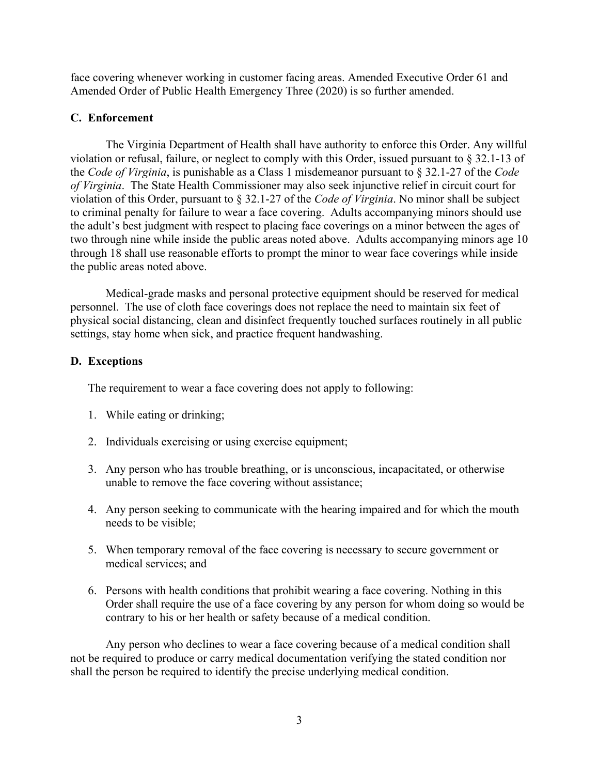face covering whenever working in customer facing areas. Amended Executive Order 61 and Amended Order of Public Health Emergency Three (2020) is so further amended.

### **C. Enforcement**

The Virginia Department of Health shall have authority to enforce this Order. Any willful violation or refusal, failure, or neglect to comply with this Order, issued pursuant to § 32.1-13 of the *Code of Virginia*, is punishable as a Class 1 misdemeanor pursuant to § 32.1-27 of the *Code of Virginia*. The State Health Commissioner may also seek injunctive relief in circuit court for violation of this Order, pursuant to § 32.1-27 of the *Code of Virginia*. No minor shall be subject to criminal penalty for failure to wear a face covering. Adults accompanying minors should use the adult's best judgment with respect to placing face coverings on a minor between the ages of two through nine while inside the public areas noted above. Adults accompanying minors age 10 through 18 shall use reasonable efforts to prompt the minor to wear face coverings while inside the public areas noted above.

Medical-grade masks and personal protective equipment should be reserved for medical personnel. The use of cloth face coverings does not replace the need to maintain six feet of physical social distancing, clean and disinfect frequently touched surfaces routinely in all public settings, stay home when sick, and practice frequent handwashing.

### **D. Exceptions**

The requirement to wear a face covering does not apply to following:

- 1. While eating or drinking;
- 2. Individuals exercising or using exercise equipment;
- 3. Any person who has trouble breathing, or is unconscious, incapacitated, or otherwise unable to remove the face covering without assistance;
- 4. Any person seeking to communicate with the hearing impaired and for which the mouth needs to be visible;
- 5. When temporary removal of the face covering is necessary to secure government or medical services; and
- 6. Persons with health conditions that prohibit wearing a face covering. Nothing in this Order shall require the use of a face covering by any person for whom doing so would be contrary to his or her health or safety because of a medical condition.

Any person who declines to wear a face covering because of a medical condition shall not be required to produce or carry medical documentation verifying the stated condition nor shall the person be required to identify the precise underlying medical condition.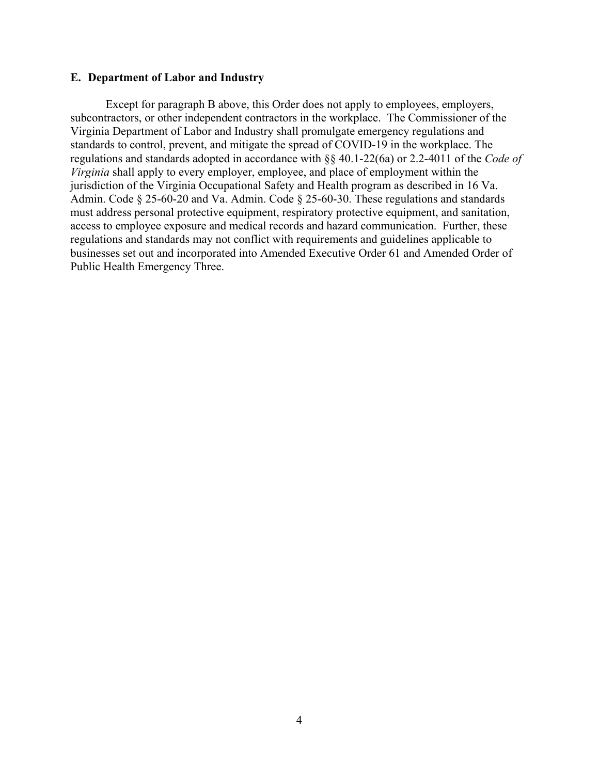#### **E. Department of Labor and Industry**

Except for paragraph B above, this Order does not apply to employees, employers, subcontractors, or other independent contractors in the workplace. The Commissioner of the Virginia Department of Labor and Industry shall promulgate emergency regulations and standards to control, prevent, and mitigate the spread of COVID-19 in the workplace. The regulations and standards adopted in accordance with §§ 40.1-22(6a) or 2.2-4011 of the *Code of Virginia* shall apply to every employer, employee, and place of employment within the jurisdiction of the Virginia Occupational Safety and Health program as described in 16 Va. Admin. Code § 25-60-20 and Va. Admin. Code § 25-60-30. These regulations and standards must address personal protective equipment, respiratory protective equipment, and sanitation, access to employee exposure and medical records and hazard communication. Further, these regulations and standards may not conflict with requirements and guidelines applicable to businesses set out and incorporated into Amended Executive Order 61 and Amended Order of Public Health Emergency Three.